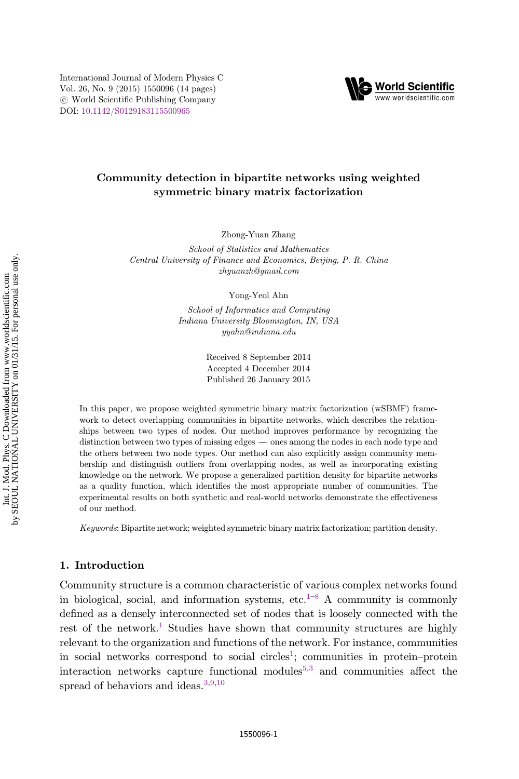International Journal of Modern Physics C Vol. 26, No. 9 (2015) 1550096 (14 pages)  $\circ$ . World Scientific Publishing Company DOI: [10.1142/S0129183115500965](http://dx.doi.org/10.1142/S0129183115500965)



Zhong-Yuan Zhang

School of Statistics and Mathematics Central University of Finance and Economics, Beijing, P. R. China zhyuanzh@gmail.com

Yong-Yeol Ahn

School of Informatics and Computing Indiana University Bloomington, IN, USA yyahn@indiana.edu

> Received 8 September 2014 Accepted 4 December 2014 Published 26 January 2015

In this paper, we propose weighted symmetric binary matrix factorization (wSBMF) framework to detect overlapping communities in bipartite networks, which describes the relationships between two types of nodes. Our method improves performance by recognizing the distinction between two types of missing edges  $\_\,$  ones among the nodes in each node type and the others between two node types. Our method can also explicitly assign community membership and distinguish outliers from overlapping nodes, as well as incorporating existing knowledge on the network. We propose a generalized partition density for bipartite networks as a quality function, which identifies the most appropriate number of communities. The experimental results on both synthetic and real-world networks demonstrate the effectiveness of our method.

Keywords: Bipartite network; weighted symmetric binary matrix factorization; partition density.

## 1. Introduction

Community structure is a common characteristic of various complex networks found in biological, social, and information systems, etc.<sup>[1](#page-12-0)–[8](#page-12-0)</sup> A community is commonly defined as a densely interconnected set of nodes that is loosely connected with the rest of the network.<sup>[1](#page-12-0)</sup> Studies have shown that community structures are highly relevant to the organization and functions of the network. For instance, communities in social networks correspond to social circles<sup>[1](#page-12-0)</sup>; communities in protein–protein interaction networks capture functional modules<sup>[5,3](#page-12-0)</sup> and communities affect the spread of behaviors and ideas.<sup>[3](#page-12-0),[9,10](#page-12-0)</sup>

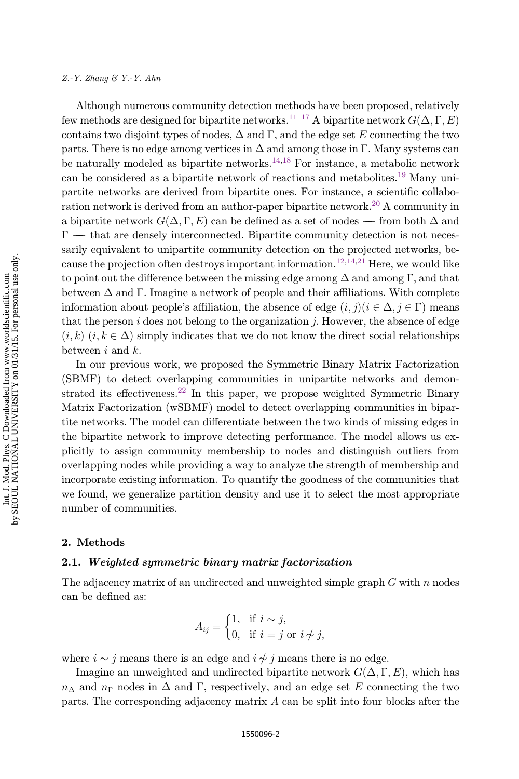#### $Z.-Y.$  Zhang  $\mathcal{B}$  Y.-Y. Ahn

Although numerous community detection methods have been proposed, relatively few methods are designed for bipartite networks.<sup>11–[17](#page-12-0)</sup> A bipartite network  $G(\Delta, \Gamma, E)$ <br>contains two disjoint types of podes. A and  $\Gamma$  and the edge set E connecting the two contains two disjoint types of nodes,  $\Delta$  and  $\Gamma$ , and the edge set E connecting the two parts. There is no edge among vertices in  $\Delta$  and among those in  $\Gamma$ . Many systems can be naturally modeled as bipartite networks.<sup>[14,18](#page-12-0)</sup> For instance, a metabolic network can be considered as a bipartite network of reactions and metabolites.[19](#page-12-0) Many unipartite networks are derived from bipartite ones. For instance, a scientific collaboration network is derived from an author-paper bipartite network.[20](#page-12-0) A community in a bipartite network  $G(\Delta, \Gamma, E)$  can be defined as a set of nodes — from both  $\Delta$  and  $\Gamma$  that are denoted interconnected. Pinertite community detection is not neces.  $\Gamma$  — that are densely interconnected. Bipartite community detection is not neces-<br>sarily equivalent to unipartite community detection on the projected networks, be sarily equivalent to unipartite community detection on the projected networks, be-cause the projection often destroys important information.<sup>[12,14,21](#page-12-0)</sup> Here, we would like to point out the difference between the missing edge among  $\Delta$  and among  $\Gamma$ , and that between  $\Delta$  and  $\Gamma$ . Imagine a network of people and their affiliations. With complete information about people's affiliation, the absence of edge  $(i, j)(i \in \Delta, j \in \Gamma)$  means that the person  $i$  does not belong to the organization  $j$ . However, the absence of edge  $(i, k)$   $(i, k \in \Delta)$  simply indicates that we do not know the direct social relationships between  $i$  and  $k$ .

In our previous work, we proposed the Symmetric Binary Matrix Factorization (SBMF) to detect overlapping communities in unipartite networks and demon-strated its effectiveness.<sup>[22](#page-12-0)</sup> In this paper, we propose weighted Symmetric Binary Matrix Factorization (wSBMF) model to detect overlapping communities in bipartite networks. The model can differentiate between the two kinds of missing edges in the bipartite network to improve detecting performance. The model allows us explicitly to assign community membership to nodes and distinguish outliers from overlapping nodes while providing a way to analyze the strength of membership and incorporate existing information. To quantify the goodness of the communities that we found, we generalize partition density and use it to select the most appropriate number of communities.

#### 2. Methods

## 2.1. Weighted symmetric binary matrix factorization

The adjacency matrix of an undirected and unweighted simple graph  $G$  with  $n$  nodes can be defined as:

$$
A_{ij} = \begin{cases} 1, & \text{if } i \sim j, \\ 0, & \text{if } i = j \text{ or } i \not\sim j, \end{cases}
$$

where  $i \sim j$  means there is an edge and  $i \not\sim j$  means there is no edge.<br>Imagina an unrupicated and undirected binaritie petrucyl:  $C(\Lambda, \Gamma)$ 

Imagine an unweighted and undirected bipartite network  $G(\Delta, \Gamma, E)$ , which has  $n_{\Delta}$  and  $n_{\Gamma}$  nodes in  $\Delta$  and  $\Gamma$ , respectively, and an edge set E connecting the two parts. The corresponding adjacency matrix A can be split into four blocks after the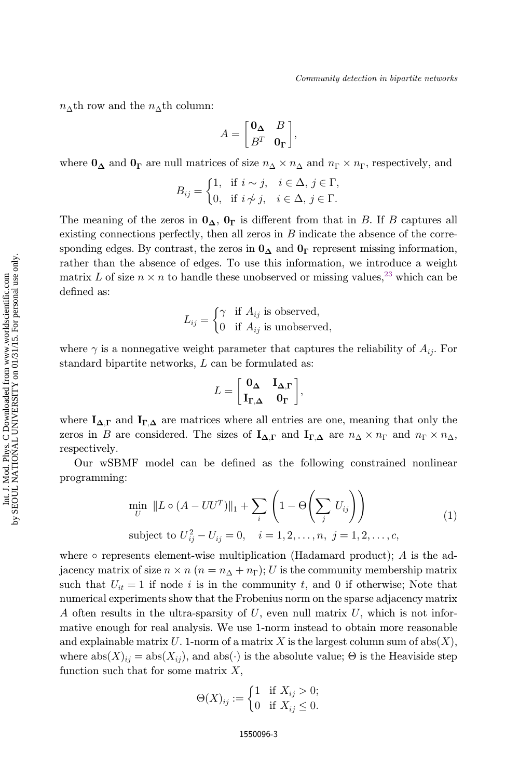$n_{\Delta}$ th row and the  $n_{\Delta}$ th column:

$$
A = \begin{bmatrix} \mathbf{0}_{\Delta} & B \\ B^T & \mathbf{0}_{\Gamma} \end{bmatrix},
$$

where  $0_{\Delta}$  and  $0_{\Gamma}$  are null matrices of size  $n_{\Delta} \times n_{\Delta}$  and  $n_{\Gamma} \times n_{\Gamma}$ , respectively, and

$$
B_{ij} = \begin{cases} 1, & \text{if } i \sim j, \quad i \in \Delta, \ j \in \Gamma, \\ 0, & \text{if } i \not\sim j, \quad i \in \Delta, \ j \in \Gamma. \end{cases}
$$

The meaning of the zeros in  $0_{\Delta}$ ,  $0_{\Gamma}$  is different from that in B. If B captures all existing connections perfectly, then all zeros in  $B$  indicate the absence of the corresponding edges. By contrast, the zeros in  $0_{\Delta}$  and  $0_{\Gamma}$  represent missing information, rather than the absence of edges. To use this information, we introduce a weight matrix L of size  $n \times n$  to handle these unobserved or missing values,<sup>[23](#page-12-0)</sup> which can be defined as:

$$
L_{ij} = \begin{cases} \gamma & \text{if } A_{ij} \text{ is observed,} \\ 0 & \text{if } A_{ij} \text{ is unobserved,} \end{cases}
$$

where  $\gamma$  is a nonnegative weight parameter that captures the reliability of  $A_{ij}$ . For standard bipartite networks, L can be formulated as:

$$
L = \begin{bmatrix} \mathbf{0}_{\boldsymbol{\Delta}} & \mathbf{I}_{\boldsymbol{\Delta},\boldsymbol{\Gamma}} \\ \mathbf{I}_{\boldsymbol{\Gamma},\boldsymbol{\Delta}} & \mathbf{0}_{\boldsymbol{\Gamma}} \end{bmatrix},
$$

where  $I_{\Delta,\Gamma}$  and  $I_{\Gamma,\Delta}$  are matrices where all entries are one, meaning that only the zeros in B are considered. The sizes of  $I_{\Delta,\Gamma}$  and  $I_{\Gamma,\Delta}$  are  $n_{\Delta} \times n_{\Gamma}$  and  $n_{\Gamma} \times n_{\Delta}$ , respectively.

Our wSBMF model can be defined as the following constrained nonlinear programming:

$$
\min_{U} \|L \circ (A - UU^T)\|_1 + \sum_{i} \left(1 - \Theta\left(\sum_j U_{ij}\right)\right)
$$
\nsubject to  $U_{ij}^2 - U_{ij} = 0$ ,  $i = 1, 2, ..., n$ ,  $j = 1, 2, ..., c$ , (1)

where  $\circ$  represents element-wise multiplication (Hadamard product); A is the adjacency matrix of size  $n \times n$   $(n = n_{\Delta} + n_{\Gamma}); U$  is the community membership matrix<br>sugh that  $U = 1$  if node *i* is in the community t, and 0 if otherwise. Note that such that  $U_{it} = 1$  if node i is in the community t, and 0 if otherwise; Note that numerical experiments show that the Frobenius norm on the sparse adjacency matrix A often results in the ultra-sparsity of  $U$ , even null matrix  $U$ , which is not informative enough for real analysis. We use 1-norm instead to obtain more reasonable and explainable matrix U. 1-norm of a matrix X is the largest column sum of  $abs(X)$ , where  $abs(X)_{ij} = abs(X_{ij})$ , and  $abs(\cdot)$  is the absolute value;  $\Theta$  is the Heaviside step function such that for some matrix  $X$ ,

$$
\Theta(X)_{ij} := \begin{cases} 1 & \text{if } X_{ij} > 0; \\ 0 & \text{if } X_{ij} \le 0. \end{cases}
$$

 $\overline{\mathbf{g}}$ 

Int. J. Mod. Phys. C Downloaded from www.worldscientific.com<br>SEOUL NATIONAL UNIVERSITY on 01/31/15. For personal use only. by SEOUL NATIONAL UNIVERSITY on 01/31/15. For personal use only.Int. J. Mod. Phys. C Downloaded from www.worldscientific.com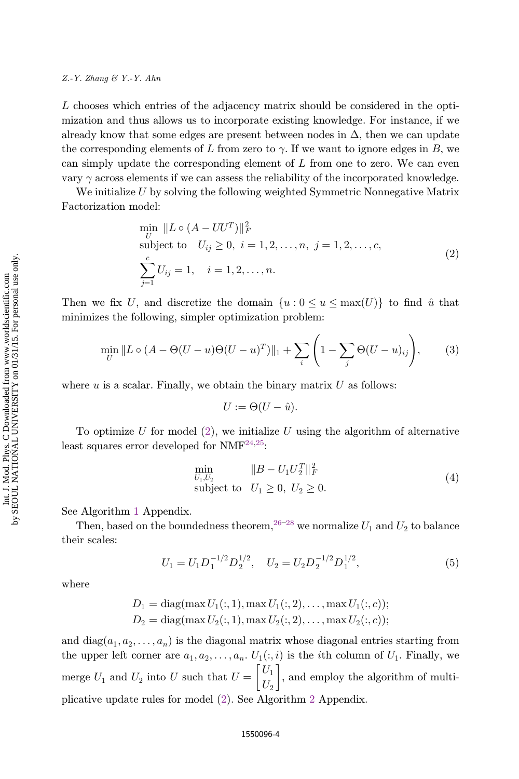### $Z.-Y.$  Zhang  $\mathcal{B}$  Y.-Y. Ahn

L chooses which entries of the adjacency matrix should be considered in the optimization and thus allows us to incorporate existing knowledge. For instance, if we already know that some edges are present between nodes in  $\Delta$ , then we can update the corresponding elements of L from zero to  $\gamma$ . If we want to ignore edges in B, we can simply update the corresponding element of  $L$  from one to zero. We can even vary  $\gamma$  across elements if we can assess the reliability of the incorporated knowledge.

We initialize  $U$  by solving the following weighted Symmetric Nonnegative Matrix Factorization model:

$$
\min_{U} \|L \circ (A - UU^{T})\|_{F}^{2}
$$
\nsubject to  $U_{ij} \geq 0, i = 1, 2, ..., n, j = 1, 2, ..., c,$ \n
$$
\sum_{j=1}^{c} U_{ij} = 1, i = 1, 2, ..., n.
$$
\n(2)

Then we fix U, and discretize the domain  $\{u : 0 \le u \le \max(U)\}\)$  to find  $\hat{u}$  that minimizes the following, simpler optimization problem:

$$
\min_{U} \|L \circ (A - \Theta(U - u)\Theta(U - u)^{T})\|_{1} + \sum_{i} \left(1 - \sum_{j} \Theta(U - u)_{ij}\right), \quad (3)
$$

where  $u$  is a scalar. Finally, we obtain the binary matrix  $U$  as follows:

$$
U:=\Theta(U-\hat{u}).
$$

To optimize U for model  $(2)$ , we initialize U using the algorithm of alternative least squares error developed for  $NMF^{24,25}$  $NMF^{24,25}$  $NMF^{24,25}$ :

$$
\min_{U_1, U_2} \|B - U_1 U_2^T\|_F^2 \n\text{subject to} \quad U_1 \ge 0, \ U_2 \ge 0.
$$
\n(4)

See Algorithm [1](#page-11-0) Appendix.

Then, based on the boundedness theorem,  $26-28$  $26-28$  $26-28$  we normalize  $U_1$  and  $U_2$  to balance their scales:

$$
U_1 = U_1 D_1^{-1/2} D_2^{1/2}, \quad U_2 = U_2 D_2^{-1/2} D_1^{1/2}, \tag{5}
$$

where

$$
D_1 = \text{diag}(\max U_1(:,1), \max U_1(:,2), \dots, \max U_1(:,c));
$$
  
\n
$$
D_2 = \text{diag}(\max U_2(:,1), \max U_2(:,2), \dots, \max U_2(:,c));
$$

and diag $(a_1, a_2, \ldots, a_n)$  is the diagonal matrix whose diagonal entries starting from the upper left corner are  $a_1, a_2, \ldots, a_n$ .  $U_1(:,i)$  is the *i*th column of  $U_1$ . Finally, we merge  $U_1$  and  $U_2$  into U such that  $U = \begin{bmatrix} U_1 \\ U_2 \end{bmatrix}$  $\begin{bmatrix} U_1 \\ V_1 \end{bmatrix}$ , and employ the algorithm of multiplicative update rules for model (2). See Algorithm [2](#page-12-0) Appendix.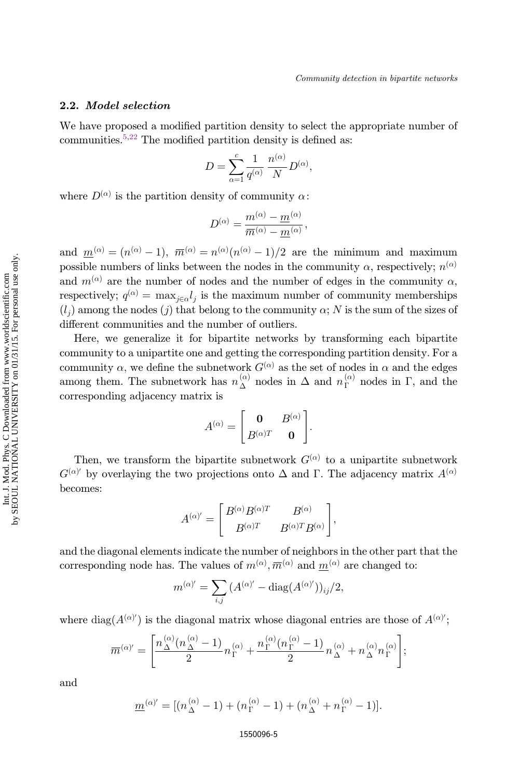### 2.2. Model selection

We have proposed a modified partition density to select the appropriate number of communities.<sup>[5,22](#page-12-0)</sup> The modified partition density is defined as:

$$
D = \sum_{\alpha=1}^{c} \frac{1}{q^{(\alpha)}} \frac{n^{(\alpha)}}{N} D^{(\alpha)},
$$

where  $D^{(\alpha)}$  is the partition density of community  $\alpha$ :

$$
D^{(\alpha)} = \frac{m^{(\alpha)} - m^{(\alpha)}}{\overline{m}^{(\alpha)} - \underline{m}^{(\alpha)}},
$$

and  $\underline{m}^{(\alpha)} = (n^{(\alpha)} - 1), \overline{m}^{(\alpha)} = n^{(\alpha)}(n^{(\alpha)} - 1)/2$  are the minimum and maximum<br>possible numbers of links between the podes in the community  $\alpha$ , respectively,  $n^{(\alpha)}$ possible numbers of links between the nodes in the community  $\alpha$ , respectively;  $n^{(\alpha)}$ and  $m^{(\alpha)}$  are the number of nodes and the number of edges in the community  $\alpha$ , respectively;  $q^{(\alpha)} = \max_{j \in \alpha} l_j$  is the maximum number of community memberships  $(l_1)$  among the nodes (a) that belong to the community of N is the sum of the sizes of  $(l_j)$  among the nodes  $(j)$  that belong to the community  $\alpha$ ; N is the sum of the sizes of different communities and the number of outliers.

Here, we generalize it for bipartite networks by transforming each bipartite community to a unipartite one and getting the corresponding partition density. For a community  $\alpha$ , we define the subnetwork  $G^{(\alpha)}$  as the set of nodes in  $\alpha$  and the edges among them. The subnetwork has  $n_{\Delta}^{(\alpha)}$  nodes in  $\Delta$  and  $n_{\Gamma}^{(\alpha)}$  nodes in  $\Gamma$ , and the corresponding adjacency matrix is

$$
A^{(\alpha)} = \begin{bmatrix} \mathbf{0} & B^{(\alpha)} \\ B^{(\alpha)T} & \mathbf{0} \end{bmatrix}.
$$

Then, we transform the bipartite subnetwork  $G^{(\alpha)}$  to a unipartite subnetwork  $G^{(\alpha)'}$  by overlaying the two projections onto  $\Delta$  and  $\Gamma$ . The adjacency matrix  $A^{(\alpha)}$ becomes:

$$
A^{(\alpha)'}=\begin{bmatrix} B^{(\alpha)}B^{(\alpha)T} & B^{(\alpha)} \\ B^{(\alpha)T} & B^{(\alpha)T}B^{(\alpha)} \end{bmatrix},
$$

and the diagonal elements indicate the number of neighbors in the other part that the corresponding node has. The values of  $m^{(\alpha)}, \overline{m}^{(\alpha)}$  and  $\underline{m}^{(\alpha)}$  are changed to:

$$
m^{(\alpha)'} = \sum_{i,j} (A^{(\alpha)'} - \text{diag}(A^{(\alpha)'}))_{ij}/2,
$$

where  $\text{diag}(A^{(\alpha)'})$  is the diagonal matrix whose diagonal entries are those of  $A^{(\alpha)'}$ ;

$$
\overline{m}^{(\alpha)\prime}=\Bigg[\frac{n_\Delta^{(\alpha)}(n_\Delta^{(\alpha)}-1)}{2}n_\Gamma^{(\alpha)}+\frac{n_\Gamma^{(\alpha)}(n_\Gamma^{(\alpha)}-1)}{2}n_\Delta^{(\alpha)}+n_\Delta^{(\alpha)}n_\Gamma^{(\alpha)}\Bigg];
$$

and

$$
\underline{m}^{(\alpha)'} = [(n_{\Delta}^{(\alpha)} - 1) + (n_{\Gamma}^{(\alpha)} - 1) + (n_{\Delta}^{(\alpha)} + n_{\Gamma}^{(\alpha)} - 1)].
$$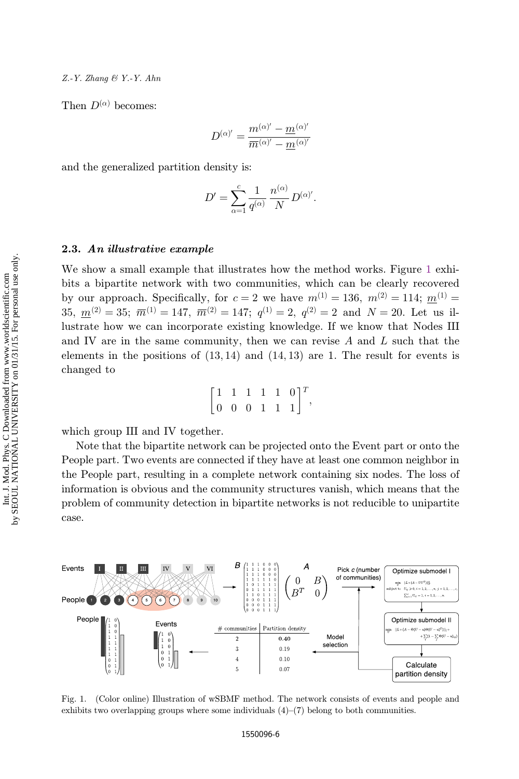Then  $D^{(\alpha)}$  becomes:

$$
D^{(\alpha)'} = \frac{m^{(\alpha)'} - m^{(\alpha)'} }{\overline{m}^{(\alpha)'} - \overline{m}^{(\alpha)'}}
$$

and the generalized partition density is:

$$
D' = \sum_{\alpha=1}^{c} \frac{1}{q^{(\alpha)}} \frac{n^{(\alpha)}}{N} D^{(\alpha)'}.
$$

## 2.3. An illustrative example

We show a small example that illustrates how the method works. Figure 1 exhibits a bipartite network with two communities, which can be clearly recovered by our approach. Specifically, for  $c = 2$  we have  $m^{(1)} = 136$ ,  $m^{(2)} = 114$ ;  $m^{(1)} =$ 35,  $m^{(2)} = 35$ ;  $\overline{m}^{(1)} = 147$ ,  $\overline{m}^{(2)} = 147$ ;  $q^{(1)} = 2$ ,  $q^{(2)} = 2$  and  $N = 20$ . Let us illustrate how we can incorporate existing knowledge. If we know that Nodes III and IV are in the same community, then we can revise  $A$  and  $L$  such that the elements in the positions of  $(13, 14)$  and  $(14, 13)$  are 1. The result for events is changed to

|  | $\begin{bmatrix} 1 & 1 & 1 & 1 & 1 & 0 \end{bmatrix}^T$ |  |  |
|--|---------------------------------------------------------|--|--|
|  | $\begin{bmatrix} 0 & 0 & 0 & 1 & 1 & 1 \end{bmatrix}$   |  |  |

which group III and IV together.

Note that the bipartite network can be projected onto the Event part or onto the People part. Two events are connected if they have at least one common neighbor in the People part, resulting in a complete network containing six nodes. The loss of information is obvious and the community structures vanish, which means that the problem of community detection in bipartite networks is not reducible to unipartite case.



Fig. 1. (Color online) Illustration of wSBMF method. The network consists of events and people and exhibits two overlapping groups where some individuals  $(4)$ – $(7)$  belong to both communities.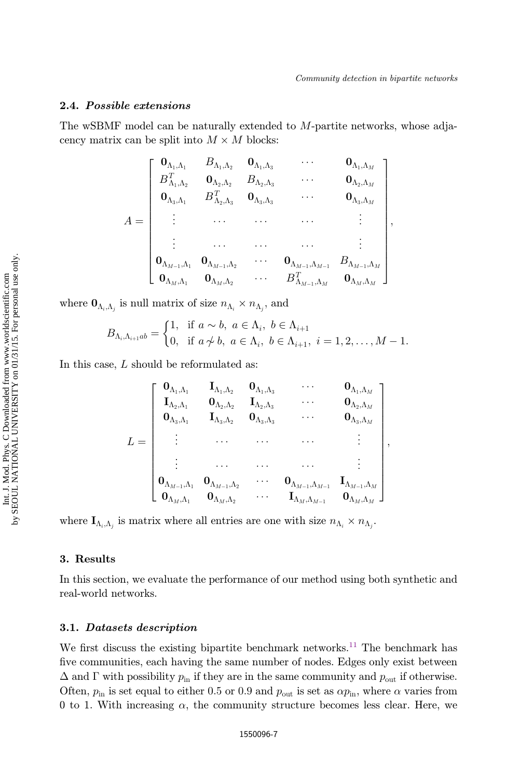## 2.4. Possible extensions

The wSBMF model can be naturally extended to M-partite networks, whose adjacency matrix can be split into  $M \times M$  blocks:

$$
A = \begin{bmatrix} \mathbf{0}_{\Lambda_1,\Lambda_1} & B_{\Lambda_1,\Lambda_2} & \mathbf{0}_{\Lambda_1,\Lambda_3} & \cdots & \mathbf{0}_{\Lambda_1,\Lambda_M} \\ B_{\Lambda_1,\Lambda_2}^T & \mathbf{0}_{\Lambda_2,\Lambda_2} & B_{\Lambda_2,\Lambda_3} & \cdots & \mathbf{0}_{\Lambda_2,\Lambda_M} \\ \mathbf{0}_{\Lambda_3,\Lambda_1} & B_{\Lambda_2,\Lambda_3}^T & \mathbf{0}_{\Lambda_3,\Lambda_3} & \cdots & \mathbf{0}_{\Lambda_3,\Lambda_M} \\ \vdots & \cdots & \cdots & \cdots & \vdots \\ \mathbf{0}_{\Lambda_{M-1},\Lambda_1} & \mathbf{0}_{\Lambda_{M-1},\Lambda_2} & \cdots & \mathbf{0}_{\Lambda_{M-1},\Lambda_{M-1}} & B_{\Lambda_{M-1},\Lambda_M} \\ \mathbf{0}_{\Lambda_M,\Lambda_1} & \mathbf{0}_{\Lambda_M,\Lambda_2} & \cdots & B_{\Lambda_{M-1},\Lambda_M}^T & \mathbf{0}_{\Lambda_M,\Lambda_M} \end{bmatrix},
$$

where  $\mathbf{0}_{\Lambda_i,\Lambda_j}$  is null matrix of size  $n_{\Lambda_i} \times n_{\Lambda_j}$ , and

$$
B_{\Lambda_i,\Lambda_{i+1}ab} = \begin{cases} 1, & \text{if } a \sim b, \ a \in \Lambda_i, \ b \in \Lambda_{i+1} \\ 0, & \text{if } a \not\sim b, \ a \in \Lambda_i, \ b \in \Lambda_{i+1}, \ i = 1,2,\ldots, M-1. \end{cases}
$$

In this case, L should be reformulated as:

$$
L = \left[ \begin{array}{cccc} \textbf{0}_{\Lambda_1, \Lambda_1} & \textbf{I}_{\Lambda_1, \Lambda_2} & \textbf{0}_{\Lambda_1, \Lambda_3} & \cdots & \textbf{0}_{\Lambda_1, \Lambda_M} \\ \textbf{I}_{\Lambda_2, \Lambda_1} & \textbf{0}_{\Lambda_2, \Lambda_2} & \textbf{I}_{\Lambda_2, \Lambda_3} & \cdots & \textbf{0}_{\Lambda_2, \Lambda_M} \\ \textbf{0}_{\Lambda_3, \Lambda_1} & \textbf{I}_{\Lambda_3, \Lambda_2} & \textbf{0}_{\Lambda_3, \Lambda_3} & \cdots & \textbf{0}_{\Lambda_3, \Lambda_M} \\ \vdots & \cdots & \cdots & \cdots & \vdots \\ \textbf{0}_{\Lambda_{M-1}, \Lambda_1} & \textbf{0}_{\Lambda_{M-1}, \Lambda_2} & \cdots & \textbf{0}_{\Lambda_{M-1}, \Lambda_{M-1}} & \textbf{I}_{\Lambda_{M-1}, \Lambda_M} \\ \textbf{0}_{\Lambda_M, \Lambda_1} & \textbf{0}_{\Lambda_M, \Lambda_2} & \cdots & \textbf{I}_{\Lambda_M, \Lambda_{M-1}} & \textbf{0}_{\Lambda_M, \Lambda_M} \end{array} \right],
$$

where  $\mathbf{I}_{\Lambda_i,\Lambda_j}$  is matrix where all entries are one with size  $n_{\Lambda_i} \times n_{\Lambda_j}$ .

### 3. Results

In this section, we evaluate the performance of our method using both synthetic and real-world networks.

#### 3.1. Datasets description

We first discuss the existing bipartite benchmark networks.<sup>[11](#page-12-0)</sup> The benchmark has five communities, each having the same number of nodes. Edges only exist between  $\Delta$  and  $\Gamma$  with possibility  $p_{\text{in}}$  if they are in the same community and  $p_{\text{out}}$  if otherwise. Often,  $p_{\text{in}}$  is set equal to either 0.5 or 0.9 and  $p_{\text{out}}$  is set as  $\alpha p_{\text{in}}$ , where  $\alpha$  varies from 0 to 1. With increasing  $\alpha$ , the community structure becomes less clear. Here, we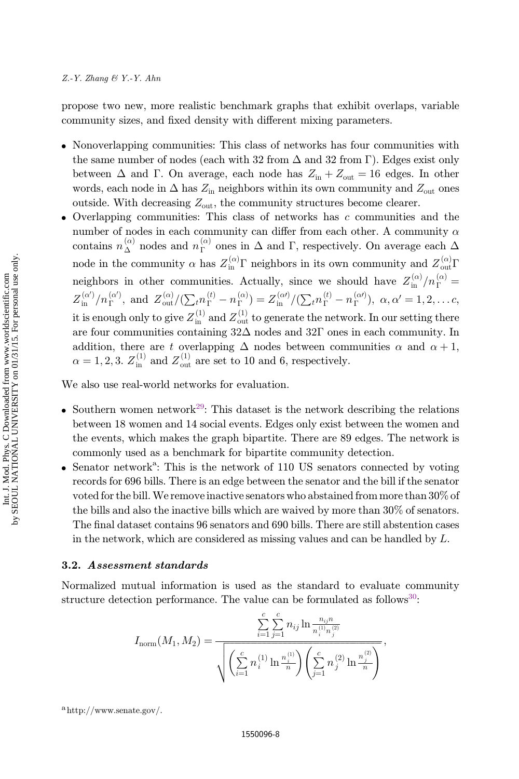propose two new, more realistic benchmark graphs that exhibit overlaps, variable community sizes, and fixed density with different mixing parameters.

- . Nonoverlapping communities: This class of networks has four communities with the same number of nodes (each with 32 from  $\Delta$  and 32 from  $\Gamma$ ). Edges exist only between  $\Delta$  and  $\Gamma$ . On average, each node has  $Z_{\text{in}} + Z_{\text{out}} = 16$  edges. In other words, each node in  $\Delta$  has  $Z_{\text{in}}$  neighbors within its own community and  $Z_{\text{out}}$  ones outside. With decreasing  $Z_{\text{out}}$ , the community structures become clearer.
- Overlapping communities: This class of networks has  $c$  communities and the number of nodes in each community can differ from each other. A community  $\alpha$ contains  $n_{\Delta}^{(\alpha)}$  nodes and  $n_{\Gamma}^{(\alpha)}$  ones in  $\Delta$  and  $\Gamma$ , respectively. On average each  $\Delta$ node in the community  $\alpha$  has  $Z_{\text{in}}^{(\alpha)}$   $\Gamma$  neighbors in its own community and  $Z_{\text{out}}^{(\alpha)}$   $\Gamma$ neighbors in other communities. Actually, since we should have  $Z_{\rm in}^{(\alpha)}/n_\Gamma^{(\alpha)}$  $Z_{\text{in}}^{(\alpha')}/n_{\Gamma}^{(\alpha')}$ , and  $Z_{\text{out}}^{(\alpha)}/(\sum_{t}n_{\Gamma}^{(t)}-n_{\Gamma}^{(\alpha)})=Z_{\text{in}}^{(\alpha')}/(\sum_{t}n_{\Gamma}^{(t)}-n_{\Gamma}^{(\alpha')})$ ,  $\alpha, \alpha'=1, 2, ...$ c, it is enough only to give  $Z_{\text{in}}^{(1)}$  and  $Z_{\text{out}}^{(1)}$  to generate the network. In our setting there are four communities containing  $32\Delta$  nodes and  $32\Gamma$  ones in each community. In addition, there are t overlapping  $\Delta$  nodes between communities  $\alpha$  and  $\alpha + 1$ ,  $\alpha = 1, 2, 3$ .  $Z_{\text{in}}^{(1)}$  and  $Z_{\text{out}}^{(1)}$  are set to 10 and 6, respectively.

We also use real-world networks for evaluation.

- Southern women network<sup>[29](#page-13-0)</sup>: This dataset is the network describing the relations between 18 women and 14 social events. Edges only exist between the women and the events, which makes the graph bipartite. There are 89 edges. The network is commonly used as a benchmark for bipartite community detection.
- Senator network<sup>a</sup>: This is the network of 110 US senators connected by voting records for 696 bills. There is an edge between the senator and the bill if the senator voted for the bill.We remove inactive senators who abstained from more than 30% of the bills and also the inactive bills which are waived by more than 30% of senators. The final dataset contains 96 senators and 690 bills. There are still abstention cases in the network, which are considered as missing values and can be handled by L.

#### 3.2. Assessment standards

Normalized mutual information is used as the standard to evaluate community structure detection performance. The value can be formulated as follows<sup>30</sup>:

$$
I_{\text{norm}}(M_1, M_2) = \frac{\sum_{i=1}^{c} \sum_{j=1}^{c} n_{ij} \ln \frac{n_{ij}n}{n_i^{(1)} n_j^{(2)}}}{\sqrt{\left(\sum_{i=1}^{c} n_i^{(1)} \ln \frac{n_i^{(1)}}{n}\right) \left(\sum_{j=1}^{c} n_j^{(2)} \ln \frac{n_j^{(2)}}{n}\right)}},
$$

ahttp://www.senate.gov/.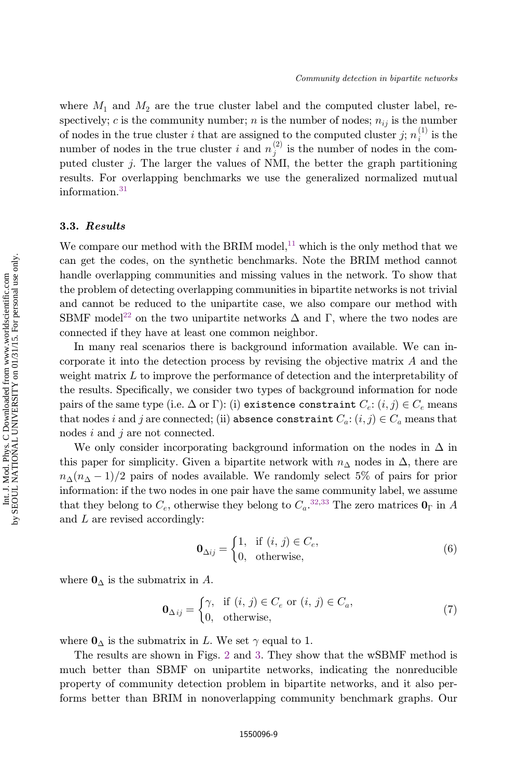where  $M_1$  and  $M_2$  are the true cluster label and the computed cluster label, respectively; c is the community number; n is the number of nodes;  $n_{ij}$  is the number of nodes in the true cluster i that are assigned to the computed cluster j;  $n_i^{(1)}$  is the number of nodes in the true cluster i and  $n_j^{(2)}$  is the number of nodes in the computed cluster j. The larger the values of NMI, the better the graph partitioning results. For overlapping benchmarks we use the generalized normalized mutual information.[31](#page-13-0)

## 3.3. Results

We compare our method with the BRIM model,<sup>11</sup> which is the only method that we can get the codes, on the synthetic benchmarks. Note the BRIM method cannot handle overlapping communities and missing values in the network. To show that the problem of detecting overlapping communities in bipartite networks is not trivial and cannot be reduced to the unipartite case, we also compare our method with SBMF model<sup>[22](#page-12-0)</sup> on the two unipartite networks  $\Delta$  and  $\Gamma$ , where the two nodes are connected if they have at least one common neighbor.

In many real scenarios there is background information available. We can incorporate it into the detection process by revising the objective matrix A and the weight matrix L to improve the performance of detection and the interpretability of the results. Specifically, we consider two types of background information for node pairs of the same type (i.e.  $\Delta$  or  $\Gamma$ ): (i) existence constraint  $C_e$ :  $(i, j) \in C_e$  means<br>that nodes i and i are connected; (ii) absence constraint  $C_e$ ; (i.j.)  $\subset C$  means that that nodes i and j are connected; (ii) absence constraint  $C_a$ :  $(i, j) \in C_a$  means that nodes i and j are not connected.

We only consider incorporating background information on the nodes in  $\Delta$  in this paper for simplicity. Given a bipartite network with  $n_{\Delta}$  nodes in  $\Delta$ , there are  $n_{\Delta}(n_{\Delta}-1)/2$  pairs of nodes available. We randomly select 5% of pairs for prior information: if the two nodes in one pair have the same community label, we assume that they belong to  $C_e$ , otherwise they belong to  $C_a$ .<sup>[32,33](#page-13-0)</sup> The zero matrices  $\mathbf{0}_{\Gamma}$  in A and L are revised accordingly:

$$
\mathbf{0}_{\Delta ij} = \begin{cases} 1, & \text{if } (i, j) \in C_e, \\ 0, & \text{otherwise,} \end{cases}
$$
 (6)

where  $\mathbf{0}_{\Delta}$  is the submatrix in A.

$$
\mathbf{0}_{\Delta ij} = \begin{cases} \gamma, & \text{if } (i, j) \in C_e \text{ or } (i, j) \in C_a, \\ 0, & \text{otherwise,} \end{cases}
$$
(7)

where  $\mathbf{0}_{\Delta}$  is the submatrix in L. We set  $\gamma$  equal to 1.

The results are shown in Figs. [2](#page-9-0) and [3](#page-9-0). They show that the wSBMF method is much better than SBMF on unipartite networks, indicating the nonreducible property of community detection problem in bipartite networks, and it also performs better than BRIM in nonoverlapping community benchmark graphs. Our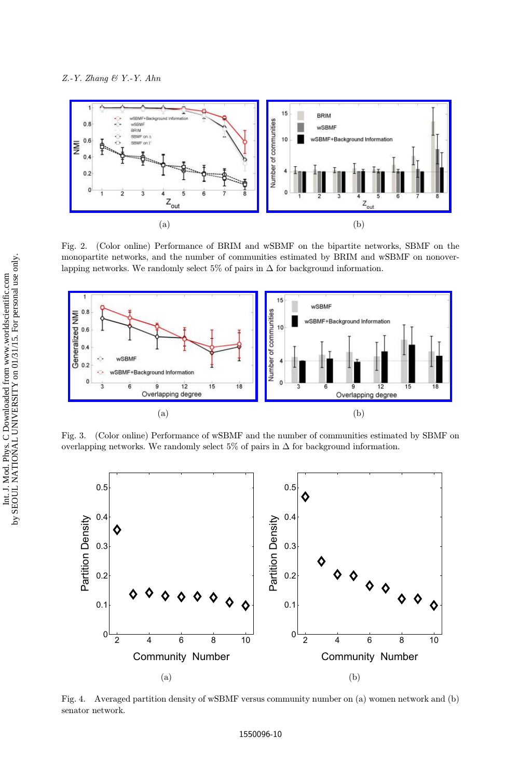<span id="page-9-0"></span>

Fig. 2. (Color online) Performance of BRIM and wSBMF on the bipartite networks, SBMF on the monopartite networks, and the number of communities estimated by BRIM and wSBMF on nonoverlapping networks. We randomly select 5% of pairs in  $\Delta$  for background information.



Fig. 3. (Color online) Performance of wSBMF and the number of communities estimated by SBMF on overlapping networks. We randomly select 5% of pairs in  $\Delta$  for background information.



Fig. 4. Averaged partition density of wSBMF versus community number on (a) women network and (b) senator network.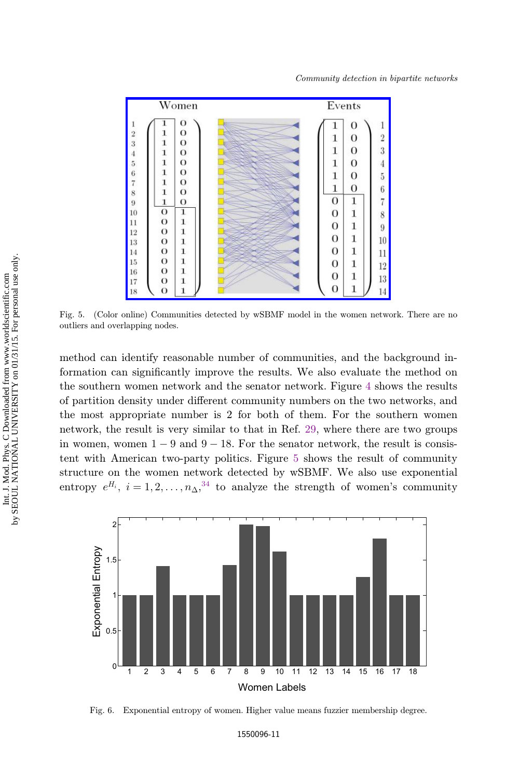<span id="page-10-0"></span>

Fig. 5. (Color online) Communities detected by wSBMF model in the women network. There are no outliers and overlapping nodes.

method can identify reasonable number of communities, and the background information can significantly improve the results. We also evaluate the method on the southern women network and the senator network. Figure [4](#page-9-0) shows the results of partition density under different community numbers on the two networks, and the most appropriate number is 2 for both of them. For the southern women network, the result is very similar to that in Ref. [29](#page-13-0), where there are two groups in women, women  $1 - 9$  and  $9 - 18$ . For the senator network, the result is consistent with American two-party politics. Figure 5 shows the result of community structure on the women network detected by wSBMF. We also use exponential entropy  $e^{H_i}$ ,  $i = 1, 2, ..., n_{\Delta}$ ,<sup>[34](#page-13-0)</sup> to analyze the strength of women's community



Fig. 6. Exponential entropy of women. Higher value means fuzzier membership degree.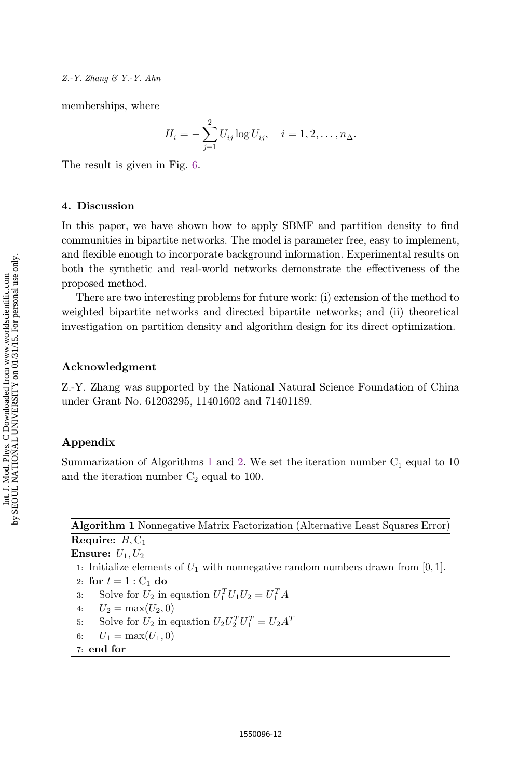<span id="page-11-0"></span>memberships, where

$$
H_i = -\sum_{j=1}^{2} U_{ij} \log U_{ij}, \quad i = 1, 2, \dots, n_{\Delta}.
$$

The result is given in Fig. [6](#page-10-0).

## 4. Discussion

In this paper, we have shown how to apply SBMF and partition density to find communities in bipartite networks. The model is parameter free, easy to implement, and flexible enough to incorporate background information. Experimental results on both the synthetic and real-world networks demonstrate the effectiveness of the proposed method.

There are two interesting problems for future work: (i) extension of the method to weighted bipartite networks and directed bipartite networks; and (ii) theoretical investigation on partition density and algorithm design for its direct optimization.

#### Acknowledgment

Z.-Y. Zhang was supported by the National Natural Science Foundation of China under Grant No. 61203295, 11401602 and 71401189.

## Appendix

Summarization of Algorithms 1 and [2](#page-12-0). We set the iteration number  $C_1$  equal to 10 and the iteration number  $C_2$  equal to 100.

**Algorithm 1** Nonnegative Matrix Factorization (Alternative Least Squares Error) **Require:** *B,* C<sup>1</sup> **Ensure:** *U*1*, U*<sup>2</sup> 1: Initialize elements of *U*<sup>1</sup> with nonnegative random numbers drawn from [0*,* 1]. 2: **for**  $t = 1$  :  $C_1$  **do** 3: Solve for  $U_2$  in equation  $U_1^T U_1 U_2 = U_1^T A$ 4:  $U_2 = \max(U_2, 0)$ 5: Solve for  $U_2$  in equation  $U_2 U_2^T U_1^T = U_2 A^T$ 6:  $U_1 = \max(U_1, 0)$ 7: **end for**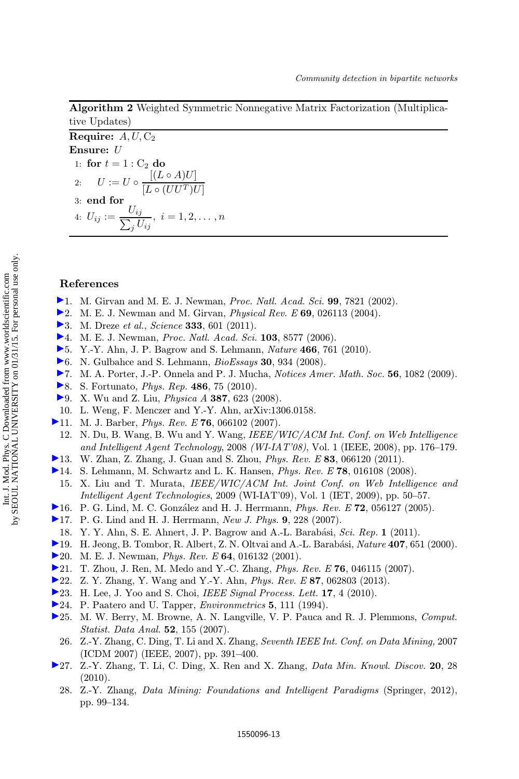# <span id="page-12-0"></span>**Algorithm 2** Weighted Symmetric Nonnegative Matrix Factorization (Multiplicative Updates)

**Require:** *A, U,* C<sup>2</sup> **Ensure:** *U* 1: **for**  $t = 1$  :  $C_2$  **do** 2:  $U := U \circ \frac{[(L \circ A)U]}{[L \circ (UU^T)U]}$ 3: **end for**  $4: U_{ij} := \frac{U_{ij}}{\sum_j U_{ij}}, \ i = 1, 2, \ldots, n$ 

### References

- 1. M. Girvan and M. E. J. Newman, *Proc. Natl. Acad. Sci.* **99**, 7821 (2002).
- $\blacktriangleright$  2. M. E. J. Newman and M. Girvan, *Physical Rev. E* 69, 026113 (2004).
- ▶ 3. M. Dreze *et al., Science* **333**, 601 (2011).
- ▶ 4. M. E. J. Newman, *Proc. Natl. Acad. Sci.* 103, 8577 (2006).
- 5. Y.-Y. Ahn, J. P. Bagrow and S. Lehmann, Nature 466, 761 (2010).
- 6. N. Gulbahce and S. Lehmann,  $BioEssays$  30, 934 (2008).
- 7. M. A. Porter, J.-P. Onnela and P. J. Mucha, Notices Amer. Math. Soc. 56, 1082 (2009).
- ▶ 8. S. Fortunato, *Phys. Rep.* 486, 75 (2010).
- ▶9. X. Wu and Z. Liu, *Physica A* **387**, 623 (2008).
- 10. L. Weng, F. Menczer and Y.-Y. Ahn, arXiv:1306.0158.
- [1](http://www.worldscientific.com/action/showLinks?crossref=10.1103%2FPhysRevE.76.066102&ads=2007PhRvE..76f6102B&isi=000251985800006)1. M. J. Barber, *Phys. Rev. E* 76, 066102 (2007).
- 12. N. Du, B. Wang, B. Wu and Y. Wang, IEEE/WIC/ACM Int. Conf. on Web Intelligence and Intelligent Agent Technology, 2008 (WI-IAT'08), Vol. 1 (IEEE, 2008), pp. 176–179.
- [1](http://www.worldscientific.com/action/showLinks?crossref=10.1103%2FPhysRevE.83.066120&ads=2011PhRvE..83f6120Z&isi=000292263700001)3. W. Zhan, Z. Zhang, J. Guan and S. Zhou, *Phys. Rev. E* 83, 066120 (2011).
- [1](http://www.worldscientific.com/action/showLinks?crossref=10.1103%2FPhysRevE.78.016108&ads=2008PhRvE..78a6108L&isi=000258179000016)4. S. Lehmann, M. Schwartz and L. K. Hansen, Phys. Rev. E 78, 016108 (2008).
- 15. X. Liu and T. Murata, IEEE/WIC/ACM Int. Joint Conf. on Web Intelligence and Intelligent Agent Technologies, 2009 (WI-IAT'09), Vol. 1 (IET, 2009), pp. 50–57.
- [1](http://www.worldscientific.com/action/showLinks?crossref=10.1103%2FPhysRevE.72.056127&ads=2005PhRvE..72e6127L&isi=000233603200036)6. P. G. Lind, M. C. Gonzalez and H. J. Herrmann, Phys. Rev. E 72, 056127 (2005).
- ▶ [1](http://www.worldscientific.com/action/showLinks?crossref=10.1088%2F1367-2630%2F9%2F7%2F228&isi=000251116300002)7. P. G. Lind and H. J. Herrmann, New J. Phys. 9, 228 (2007).
- 18. Y. Y. Ahn, S. E. Ahnert, J. P. Bagrow and A.-L. Barabási, Sci. Rep. 1 (2011).
- [1](http://www.worldscientific.com/action/showLinks?crossref=10.1038%2F35036627&ads=2000Natur.407..651J&isi=000089772800053)9. H. Jeong, B. Tombor, R. Albert, Z. N. Oltvai and A.-L. Barabási, *Nature* 407, 651 (2000).
- ▶ [2](http://www.worldscientific.com/action/showLinks?crossref=10.1103%2FPhysRevE.64.016132&ads=2001PhRvE..64a6132N&isi=000169907300042)0. M. E. J. Newman, *Phys. Rev. E* 64, 016132 (2001).
- [2](http://www.worldscientific.com/action/showLinks?crossref=10.1103%2FPhysRevE.76.046115&ads=2007PhRvE..76d6115Z&isi=000250622100023)1. T. Zhou, J. Ren, M. Medo and Y.-C. Zhang, Phys. Rev. E 76, 046115 (2007).
- [2](http://www.worldscientific.com/action/showLinks?crossref=10.1103%2FPhysRevE.87.062803&ads=2013PhRvE..87f2803Z)2. Z. Y. Zhang, Y. Wang and Y.-Y. Ahn, Phys. Rev. E 87, 062803 (2013).
- [2](http://www.worldscientific.com/action/showLinks?crossref=10.1109%2FLSP.2009.2027163&ads=2010ISPL...17....4L&isi=000270228500001)3. H. Lee, J. Yoo and S. Choi, IEEE Signal Process. Lett. 17, 4 (2010).
- ▶ [2](http://www.worldscientific.com/action/showLinks?crossref=10.1002%2Fenv.3170050203&isi=A1994NZ66000002)4. P. Paatero and U. Tapper, *Environmetrics* 5, 111 (1994).
- [2](http://www.worldscientific.com/action/showLinks?crossref=10.1016%2Fj.csda.2006.11.006&isi=000249912400013)5. M. W. Berry, M. Browne, A. N. Langville, V. P. Pauca and R. J. Plemmons, Comput. Statist. Data Anal. 52, 155 (2007).
- 26. Z.-Y. Zhang, C. Ding, T. Li and X. Zhang, Seventh IEEE Int. Conf. on Data Mining, 2007 (ICDM 2007) (IEEE, 2007), pp. 391–400.
- [2](http://www.worldscientific.com/action/showLinks?crossref=10.1007%2Fs10618-009-0145-2&isi=000273812400002)7. Z.-Y. Zhang, T. Li, C. Ding, X. Ren and X. Zhang, Data Min. Knowl. Discov. 20, 28 (2010).
	- 28. Z.-Y. Zhang, Data Mining: Foundations and Intelligent Paradigms (Springer, 2012), pp. 99–134.